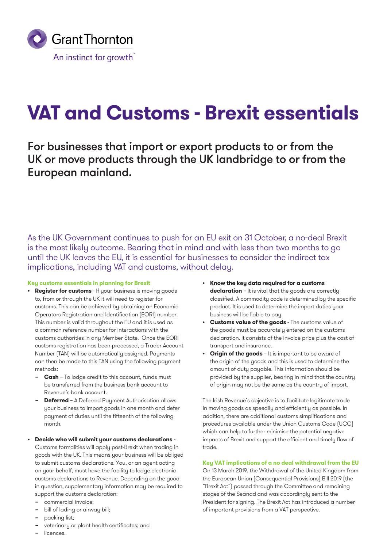

# **VAT and Customs - Brexit essentials**

For businesses that import or export products to or from the UK or move products through the UK landbridge to or from the European mainland.

As the UK Government continues to push for an EU exit on 31 October, a no-deal Brexit is the most likely outcome. Bearing that in mind and with less than two months to go until the UK leaves the EU, it is essential for businesses to consider the indirect tax implications, including VAT and customs, without delay.

## **Key customs essentials in planning for Brexit**

- **Register for customs** If your business is moving goods to, from or through the UK it will need to register for customs. This can be achieved by obtaining an Economic Operators Registration and Identification (EORI) number. This number is valid throughout the EU and it is used as a common reference number for interactions with the customs authorities in any Member State. Once the EORI customs registration has been processed, a Trader Account Number (TAN) will be automatically assigned. Payments can then be made to this TAN using the following payment methods:
	- **− Cash** To lodge credit to this account, funds must be transferred from the business bank account to Revenue's bank account.
	- **− Deferred**  A Deferred Payment Authorisation allows your business to import goods in one month and defer payment of duties until the fifteenth of the following month.
- **• Decide who will submit your customs declarations** Customs formalities will apply post-Brexit when trading in goods with the UK. This means your business will be obliged to submit customs declarations. You, or an agent acting on your behalf, must have the facility to lodge electronic customs declarations to Revenue. Depending on the good in question, supplementary information may be required to support the customs declaration:
	- **−** commercial invoice;
	- **−** bill of lading or airway bill;
	- **−** packing list;
	- **−** veterinary or plant health certificates; and
	- **−** licences.
- **• Know the key data required for a customs declaration** – It is vital that the goods are correctly classified. A commodity code is determined by the specific product. It is used to determine the import duties your business will be liable to pay.
- **• Customs value of the goods**  The customs value of the goods must be accurately entered on the customs declaration. It consists of the invoice price plus the cost of transport and insurance.
- **• Origin of the goods**  It is important to be aware of the origin of the goods and this is used to determine the amount of duty payable. This information should be provided by the supplier, bearing in mind that the country of origin may not be the same as the country of import.

The Irish Revenue's objective is to facilitate legitimate trade in moving goods as speedily and efficiently as possible. In addition, there are additional customs simplifications and procedures available under the Union Customs Code (UCC) which can help to further minimise the potential negative impacts of Brexit and support the efficient and timely flow of trade.

## **Key VAT implications of a no deal withdrawal from the EU**

On 13 March 2019, the Withdrawal of the United Kingdom from the European Union (Consequential Provisions) Bill 2019 (the "Brexit Act") passed through the Committee and remaining stages of the Seanad and was accordingly sent to the President for signing. The Brexit Act has introduced a number of important provisions from a VAT perspective.